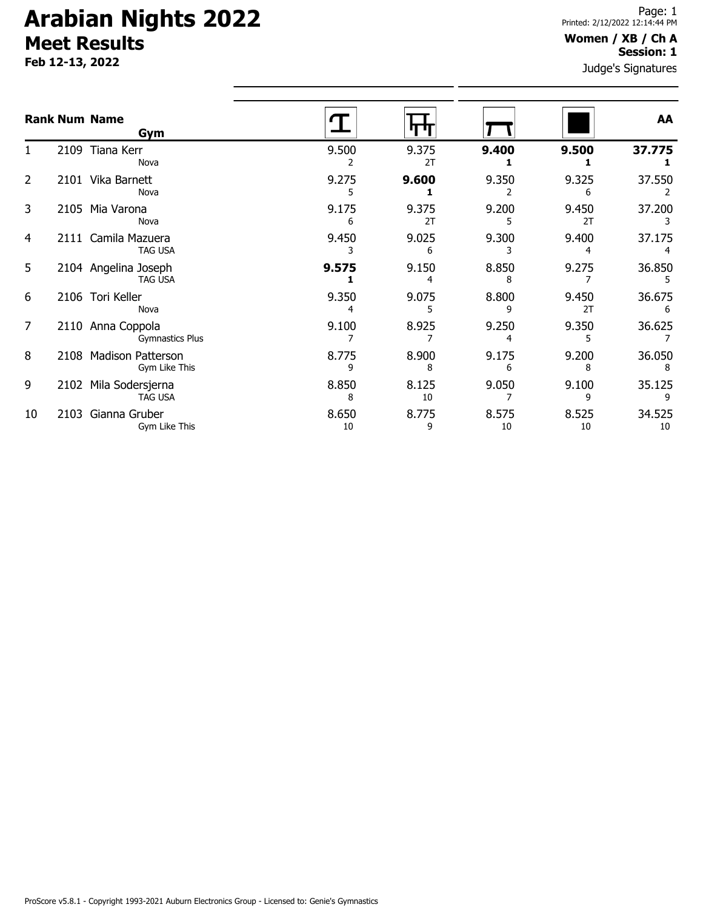**Feb 12-13, 2022**

### **Women / XB / Ch A Session: 1**

|                |      | <b>Rank Num Name</b><br>Gym                 |             |             |             |             | AA           |
|----------------|------|---------------------------------------------|-------------|-------------|-------------|-------------|--------------|
|                |      | 2109 Tiana Kerr<br>Nova                     | 9.500       | 9.375<br>2T | 9.400       | 9.500       | 37.775       |
| $\overline{2}$ |      | 2101 Vika Barnett<br>Nova                   | 9.275       | 9.600       | 9.350       | 9.325<br>6  | 37.550       |
| 3              |      | 2105 Mia Varona<br>Nova                     | 9.175<br>6  | 9.375<br>2T | 9.200       | 9.450<br>2T | 37.200       |
| 4              |      | 2111 Camila Mazuera<br><b>TAG USA</b>       | 9.450       | 9.025<br>6  | 9.300       | 9.400       | 37.175       |
| 5              |      | 2104 Angelina Joseph<br><b>TAG USA</b>      | 9.575       | 9.150       | 8.850<br>8  | 9.275       | 36.850       |
| 6              |      | 2106 Tori Keller<br>Nova                    | 9.350       | 9.075       | 8.800       | 9.450<br>2T | 36.675<br>6  |
| 7              |      | 2110 Anna Coppola<br><b>Gymnastics Plus</b> | 9.100       | 8.925       | 9.250<br>4  | 9.350       | 36.625       |
| 8              |      | 2108 Madison Patterson<br>Gym Like This     | 8.775<br>9  | 8.900<br>8  | 9.175       | 9.200<br>8  | 36.050       |
| 9              | 2102 | Mila Sodersjerna<br><b>TAG USA</b>          | 8.850<br>8  | 8.125<br>10 | 9.050       | 9.100       | 35.125       |
| 10             | 2103 | Gianna Gruber<br>Gym Like This              | 8.650<br>10 | 8.775<br>9  | 8.575<br>10 | 8.525<br>10 | 34.525<br>10 |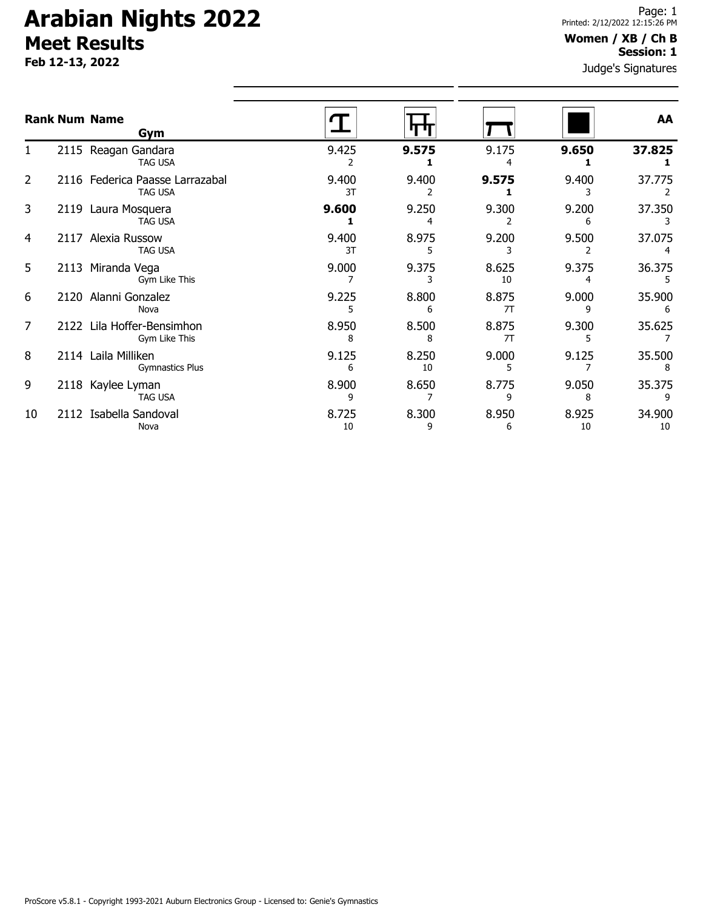**Feb 12-13, 2022**

### **Women / XB / Ch B Session: 1**

|    | <b>Rank Num Name</b><br>Gym                       |             |             |             |             | AA           |
|----|---------------------------------------------------|-------------|-------------|-------------|-------------|--------------|
|    | 2115 Reagan Gandara<br><b>TAG USA</b>             | 9.425       | 9.575       | 9.175       | 9.650       | 37.825       |
| 2  | 2116 Federica Paasse Larrazabal<br><b>TAG USA</b> | 9.400<br>3T | 9.400       | 9.575       | 9.400       | 37.775       |
| 3  | 2119 Laura Mosquera<br><b>TAG USA</b>             | 9.600       | 9.250       | 9.300       | 9.200       | 37.350       |
| 4  | 2117 Alexia Russow<br><b>TAG USA</b>              | 9.400<br>3T | 8.975       | 9.200       | 9.500       | 37.075       |
| 5  | 2113 Miranda Vega<br>Gym Like This                | 9.000       | 9.375       | 8.625<br>10 | 9.375       | 36.375       |
| 6  | 2120 Alanni Gonzalez<br>Nova                      | 9.225       | 8.800<br>6  | 8.875<br>7T | 9.000       | 35.900       |
| 7  | 2122 Lila Hoffer-Bensimhon<br>Gym Like This       | 8.950<br>8  | 8.500<br>8  | 8.875<br>7T | 9.300       | 35.625       |
| 8  | 2114 Laila Milliken<br><b>Gymnastics Plus</b>     | 9.125<br>6  | 8.250<br>10 | 9.000       | 9.125       | 35.500       |
| 9  | 2118 Kaylee Lyman<br><b>TAG USA</b>               | 8.900<br>q  | 8.650       | 8.775<br>٥  | 9.050<br>8  | 35.375       |
| 10 | 2112 Isabella Sandoval<br>Nova                    | 8.725<br>10 | 8.300<br>9  | 8.950<br>6  | 8.925<br>10 | 34.900<br>10 |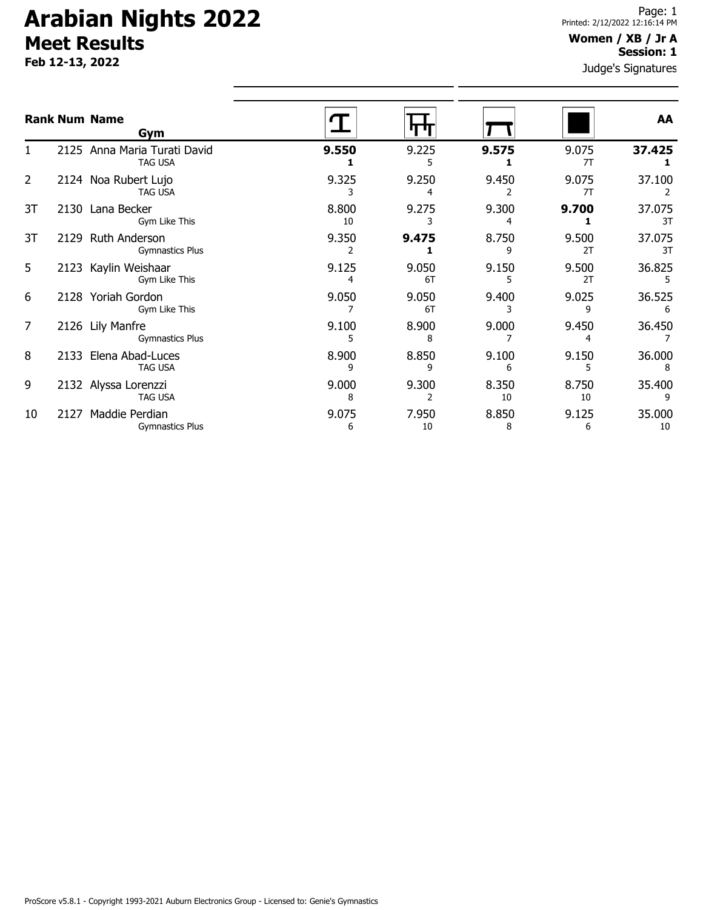**Feb 12-13, 2022**

#### **Women / XB / Jr A Session: 1**

| Gym                    |                                                                                                                                                                                                                                                                  |             |             |             | AA           |
|------------------------|------------------------------------------------------------------------------------------------------------------------------------------------------------------------------------------------------------------------------------------------------------------|-------------|-------------|-------------|--------------|
| <b>TAG USA</b>         | 9.550                                                                                                                                                                                                                                                            | 9.225       | 9.575       | 9.075<br>7T | 37.425       |
| <b>TAG USA</b>         | 9.325                                                                                                                                                                                                                                                            | 9.250<br>4  | 9.450       | 9.075<br>7T | 37.100       |
| Gym Like This          | 8.800<br>10                                                                                                                                                                                                                                                      | 9.275       | 9.300       | 9.700       | 37.075<br>3T |
| <b>Gymnastics Plus</b> | 9.350                                                                                                                                                                                                                                                            | 9.475       | 8.750<br>٩  | 9.500<br>2T | 37.075<br>3T |
| Gym Like This          | 9.125<br>4                                                                                                                                                                                                                                                       | 9.050<br>6T | 9.150       | 9.500<br>2T | 36.825<br>5  |
| Gym Like This          | 9.050                                                                                                                                                                                                                                                            | 9.050<br>6T | 9.400       | 9.025<br>q  | 36.525       |
| <b>Gymnastics Plus</b> | 9.100                                                                                                                                                                                                                                                            | 8.900<br>8  | 9.000       | 9.450       | 36.450       |
| TAG USA                | 8.900<br>٩                                                                                                                                                                                                                                                       | 8.850<br>9  | 9.100<br>6  | 9.150       | 36.000<br>8  |
| <b>TAG USA</b>         | 9.000<br>8                                                                                                                                                                                                                                                       | 9.300       | 8.350<br>10 | 8.750<br>10 | 35.400<br>9  |
| <b>Gymnastics Plus</b> | 9.075<br>6                                                                                                                                                                                                                                                       | 7.950<br>10 | 8.850<br>8  | 9.125<br>6  | 35.000<br>10 |
|                        | <b>Rank Num Name</b><br>2125 Anna Maria Turati David<br>2124 Noa Rubert Lujo<br>2130 Lana Becker<br>2129 Ruth Anderson<br>2123 Kaylin Weishaar<br>2128 Yoriah Gordon<br>2126 Lily Manfre<br>2133 Elena Abad-Luces<br>2132 Alyssa Lorenzzi<br>2127 Maddie Perdian |             |             |             |              |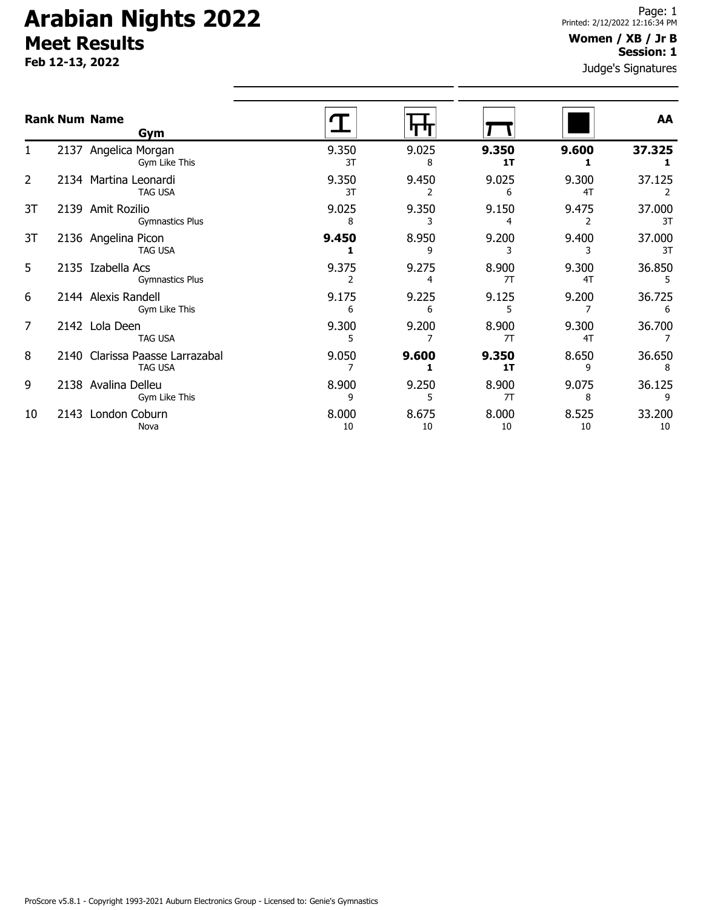**Feb 12-13, 2022**

#### **Women / XB / Jr B Session: 1**

|    | <b>Rank Num Name</b><br>Gym                       |             |             |             |             | AA           |
|----|---------------------------------------------------|-------------|-------------|-------------|-------------|--------------|
| 1. | 2137 Angelica Morgan<br>Gym Like This             | 9.350<br>3T | 9.025<br>8  | 9.350<br>1T | 9.600       | 37.325       |
| 2  | 2134 Martina Leonardi<br><b>TAG USA</b>           | 9.350<br>3T | 9.450       | 9.025<br>6  | 9.300<br>4T | 37.125       |
| 3T | 2139 Amit Rozilio<br>Gymnastics Plus              | 9.025<br>8  | 9.350       | 9.150<br>4  | 9.475<br>2  | 37.000<br>3T |
| 3T | 2136 Angelina Picon<br><b>TAG USA</b>             | 9.450       | 8.950<br>9  | 9.200<br>3  | 9.400<br>3  | 37.000<br>3T |
| 5  | 2135 Izabella Acs<br><b>Gymnastics Plus</b>       | 9.375<br>2  | 9.275       | 8.900<br>7T | 9.300<br>4T | 36.850<br>5  |
| 6  | 2144 Alexis Randell<br>Gym Like This              | 9.175<br>6  | 9.225<br>6  | 9.125<br>5  | 9.200       | 36.725<br>6  |
| 7  | 2142 Lola Deen<br><b>TAG USA</b>                  | 9.300       | 9.200       | 8.900<br>7T | 9.300<br>4T | 36.700       |
| 8  | 2140 Clarissa Paasse Larrazabal<br><b>TAG USA</b> | 9.050       | 9.600       | 9.350<br>1T | 8.650<br>9  | 36.650<br>8  |
| 9  | 2138 Avalina Delleu<br>Gym Like This              | 8.900<br>9  | 9.250<br>5  | 8.900<br>7T | 9.075<br>8  | 36.125<br>9  |
| 10 | 2143 London Coburn<br>Nova                        | 8.000<br>10 | 8.675<br>10 | 8.000<br>10 | 8.525<br>10 | 33.200<br>10 |